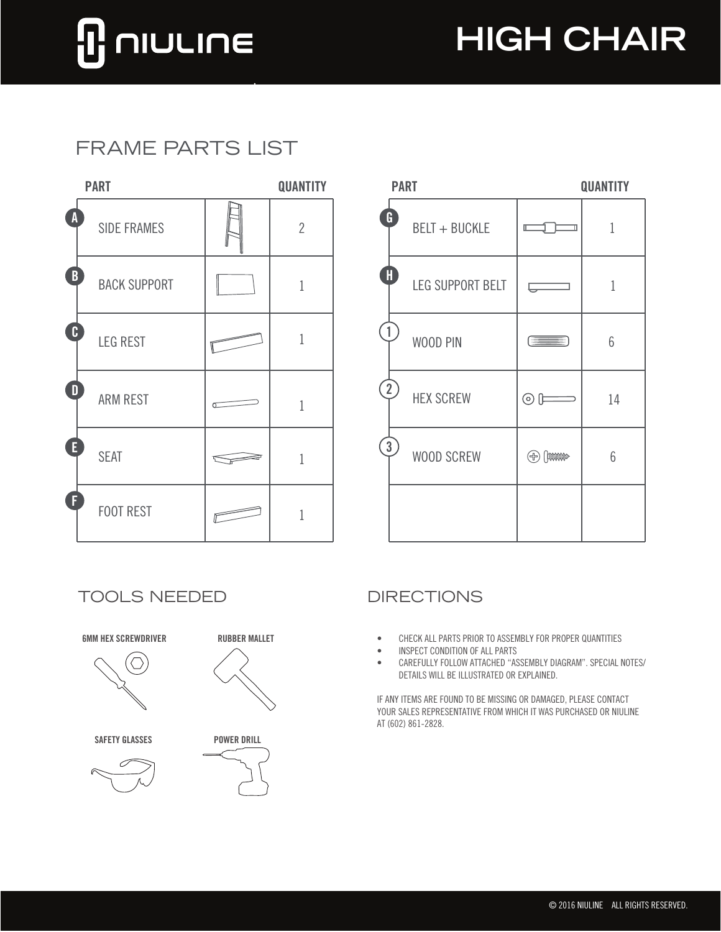# **NIULINE**

## **HIGH CHAIR**

### FRAME PARTS LIST

|   | <b>PART</b>         | <b>QUANTITY</b> |                |
|---|---------------------|-----------------|----------------|
| A | <b>SIDE FRAMES</b>  |                 | $\overline{2}$ |
| B | <b>BACK SUPPORT</b> |                 | 1              |
| C | <b>LEG REST</b>     |                 | 1              |
| D | <b>ARM REST</b>     | σ               | 1              |
| E | <b>SEAT</b>         |                 | 1              |
| F | <b>FOOT REST</b>    |                 | 1              |

| <b>PART</b>         |  | <b>QUANTITY</b> | <b>PART</b>                        | QUANTITY                   |                 |
|---------------------|--|-----------------|------------------------------------|----------------------------|-----------------|
| <b>SIDE FRAMES</b>  |  | $\overline{2}$  | G<br>BELT + BUCKLE                 |                            |                 |
| <b>BACK SUPPORT</b> |  |                 | $\blacksquare$<br>LEG SUPPORT BELT |                            |                 |
| <b>LEG REST</b>     |  | $\mathbf{1}$    | WOOD PIN                           | $\equiv$ $\equiv$ $\equiv$ | 6               |
| <b>ARM REST</b>     |  | $\mathbf{1}$    | $\overline{2}$<br><b>HEX SCREW</b> | $\odot$ [F                 | 14              |
| <b>SEAT</b>         |  | 1               | $\left[ 3 \right)$<br>WOOD SCREW   | $\oplus$ $\oplus$          | $6\phantom{.}6$ |
| FOOT REST           |  |                 |                                    |                            |                 |

TOOLS NEEDED DIRECTIONS



- CHECK ALL PARTS PRIOR TO ASSEMBLY FOR PROPER QUANTITIES
- INSPECT CONDITION OF ALL PARTS
- CAREFULLY FOLLOW ATTACHED "ASSEMBLY DIAGRAM". SPECIAL NOTES/ DETAILS WILL BE ILLUSTRATED OR EXPLAINED.

IF ANY ITEMS ARE FOUND TO BE MISSING OR DAMAGED, PLEASE CONTACT YOUR SALES REPRESENTATIVE FROM WHICH IT WAS PURCHASED OR NIULINE AT (602) 861-2828.